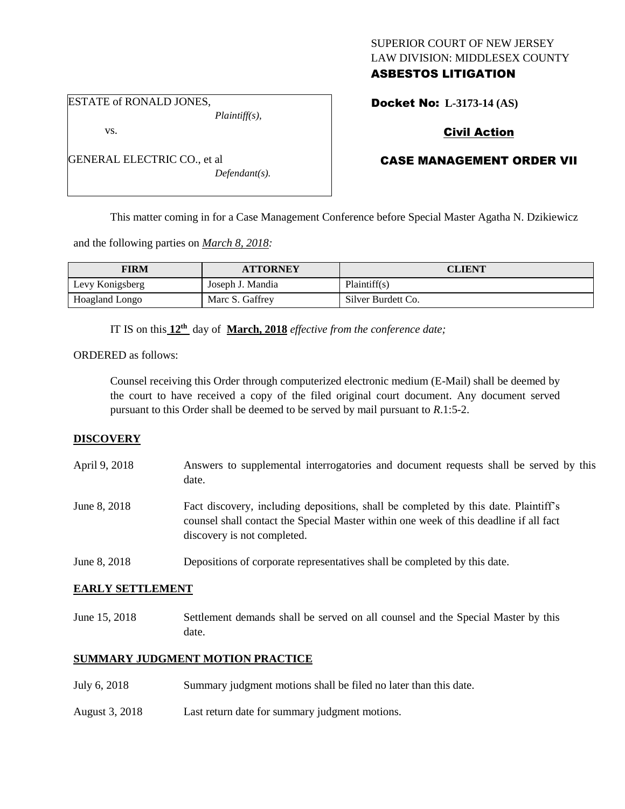## SUPERIOR COURT OF NEW JERSEY LAW DIVISION: MIDDLESEX COUNTY ASBESTOS LITIGATION

ESTATE of RONALD JONES,

vs.

*Plaintiff(s),*

GENERAL ELECTRIC CO., et al

*Defendant(s).*

# Docket No: **L-3173-14 (AS)**

# Civil Action

# CASE MANAGEMENT ORDER VII

This matter coming in for a Case Management Conference before Special Master Agatha N. Dzikiewicz

and the following parties on *March 8, 2018:*

| <b>FIRM</b>     | <b>ATTORNEY</b>  | <b>CLIENT</b>      |
|-----------------|------------------|--------------------|
| Levy Konigsberg | Joseph J. Mandia | Plaintiff(s)       |
| Hoagland Longo  | Marc S. Gaffrey  | Silver Burdett Co. |

IT IS on this **12th** day of **March, 2018** *effective from the conference date;*

ORDERED as follows:

Counsel receiving this Order through computerized electronic medium (E-Mail) shall be deemed by the court to have received a copy of the filed original court document. Any document served pursuant to this Order shall be deemed to be served by mail pursuant to *R*.1:5-2.

## **DISCOVERY**

| April 9, 2018 | Answers to supplemental interrogatories and document requests shall be served by this<br>date.                                                                                                              |
|---------------|-------------------------------------------------------------------------------------------------------------------------------------------------------------------------------------------------------------|
| June 8, 2018  | Fact discovery, including depositions, shall be completed by this date. Plaintiff's<br>counsel shall contact the Special Master within one week of this deadline if all fact<br>discovery is not completed. |
| June 8, 2018  | Depositions of corporate representatives shall be completed by this date.                                                                                                                                   |

## **EARLY SETTLEMENT**

June 15, 2018 Settlement demands shall be served on all counsel and the Special Master by this date.

## **SUMMARY JUDGMENT MOTION PRACTICE**

- July 6, 2018 Summary judgment motions shall be filed no later than this date.
- August 3, 2018 Last return date for summary judgment motions.